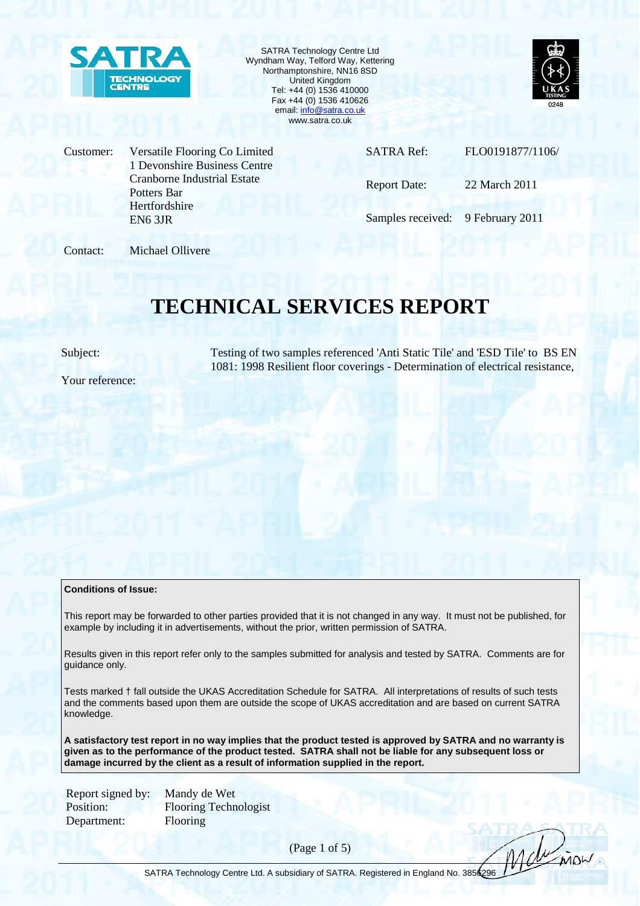

SATRA Technology Centre Ltd Wyndham Way, Telford Way, Kettering Northamptonshire, NN16 8SD United Kingdom Tel: +44 (0) 1536 410000 Fax +44 (0) 1536 410626 email: info@satra.co.uk www.satra.co.uk



Customer: Versatile Flooring Co Limited 1 Devonshire Business Centre Cranborne Industrial Estate Potters Bar **Hertfordshire** EN6 3JR

SATRA Ref: FLO0191877/1106/

Report Date: 22 March 2011

Samples received: 9 February 2011

Contact: Michael Ollivere

# **TECHNICAL SERVICES REPORT**

Subject: Testing of two samples referenced 'Anti Static Tile' and 'ESD Tile' to BS EN 1081: 1998 Resilient floor coverings - Determination of electrical resistance,

Your reference:

### **Conditions of Issue:**

This report may be forwarded to other parties provided that it is not changed in any way. It must not be published, for example by including it in advertisements, without the prior, written permission of SATRA.

Results given in this report refer only to the samples submitted for analysis and tested by SATRA. Comments are for guidance only.

Tests marked † fall outside the UKAS Accreditation Schedule for SATRA. All interpretations of results of such tests and the comments based upon them are outside the scope of UKAS accreditation and are based on current SATRA knowledge.

**A satisfactory test report in no way implies that the product tested is approved by SATRA and no warranty is given as to the performance of the product tested. SATRA shall not be liable for any subsequent loss or damage incurred by the client as a result of information supplied in the report.** 

Department: Flooring

Report signed by: Mandy de Wet Position: Flooring Technologist

(Page 1 of 5)

Moli INOW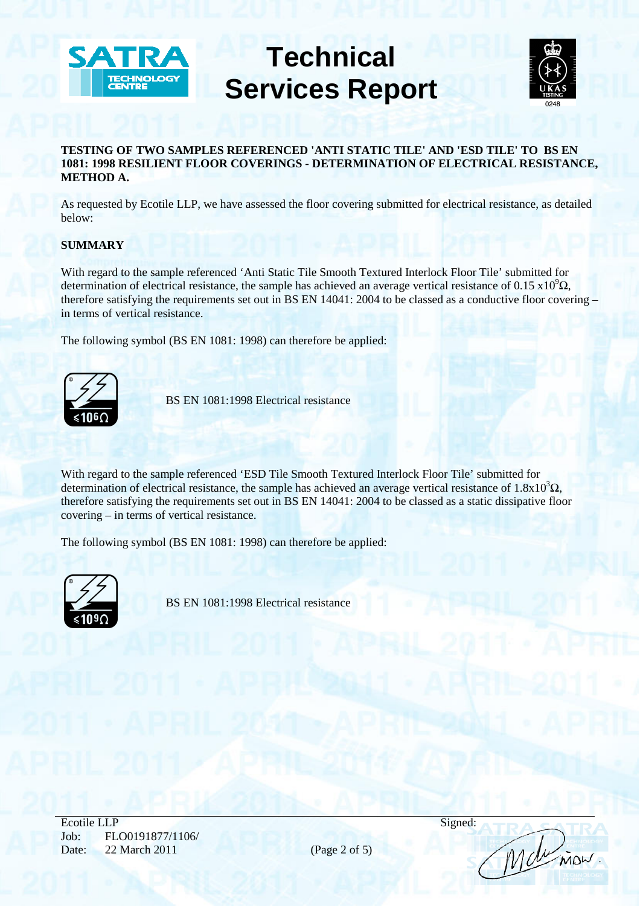



# **TESTING OF TWO SAMPLES REFERENCED 'ANTI STATIC TILE' AND 'ESD TILE' TO BS EN 1081: 1998 RESILIENT FLOOR COVERINGS - DETERMINATION OF ELECTRICAL RESISTANCE, METHOD A.**

As requested by Ecotile LLP, we have assessed the floor covering submitted for electrical resistance, as detailed below:

# **SUMMARY**

With regard to the sample referenced 'Anti Static Tile Smooth Textured Interlock Floor Tile' submitted for determination of electrical resistance, the sample has achieved an average vertical resistance of 0.15 x10 $^9\Omega$ , therefore satisfying the requirements set out in BS EN 14041: 2004 to be classed as a conductive floor covering – in terms of vertical resistance.

The following symbol (BS EN 1081: 1998) can therefore be applied: The following symbol (BS EN 1081: 1998) can therefore be a<br>
SS EN 1081:1998 Electrical resistance<br>
S1060



With regard to the sample referenced 'ESD Tile Smooth Textured Interlock Floor Tile' submitted for determination of electrical resistance, the sample has achieved an average vertical resistance of  $1.8x10^{3}\Omega$ , therefore satisfying the requirements set out in BS EN 14041: 2004 to be classed as a static dissipative floor covering – in terms of vertical resistance.

The following symbol (BS EN 1081: 1998) can therefore be applied:



Ecotile LLP Signed: Job: FLO0191877/1106/ Date: 22 March 2011 (Page 2 of 5)

Molinian.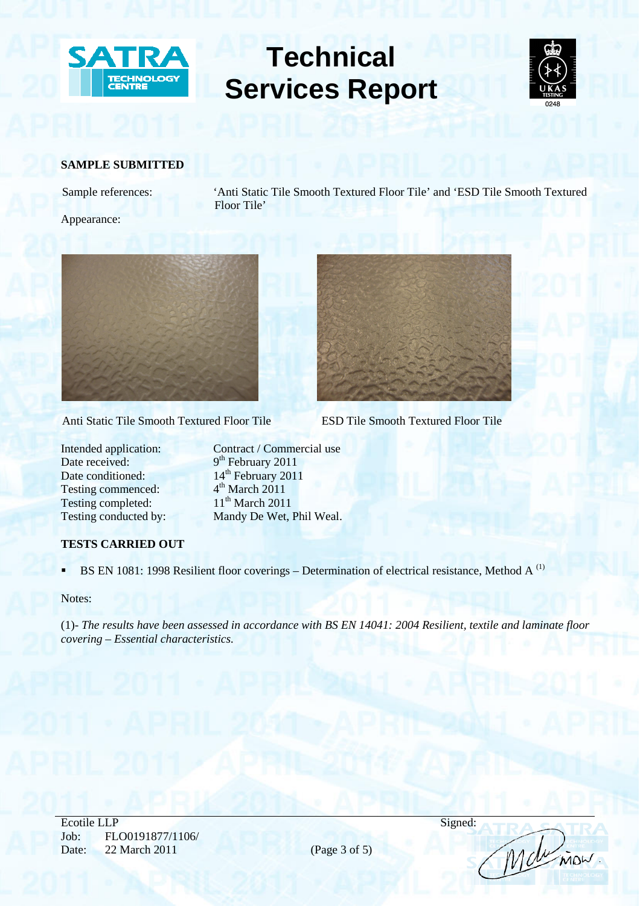



## **SAMPLE SUBMITTED**

Sample references: 'Anti Static Tile Smooth Textured Floor Tile' and 'ESD Tile Smooth Textured Floor Tile'

Appearance:



Anti Static Tile Smooth Textured Floor Tile ESD Tile Smooth Textured Floor Tile

Date received: 9<sup>th</sup> February 2011 Date conditioned: 14<sup>th</sup> February 2011<br>Testing commenced: 4<sup>th</sup> March 2011 Testing commenced:  $4^{\text{th}}$  March 2011<br>Testing completed:  $11^{\text{th}}$  March 2011 Testing completed:

Intended application: Contract / Commercial use Testing conducted by: Mandy De Wet, Phil Weal.

# **TESTS CARRIED OUT**

BS EN 1081: 1998 Resilient floor coverings – Determination of electrical resistance, Method A<sup>(1)</sup>

Notes:

(1)- *The results have been assessed in accordance with BS EN 14041: 2004 Resilient, textile and laminate floor covering – Essential characteristics.*

Ecotile LLP Signed: Job: FLO0191877/1106/ Date: 22 March 2011 (Page 3 of 5)



Molinian.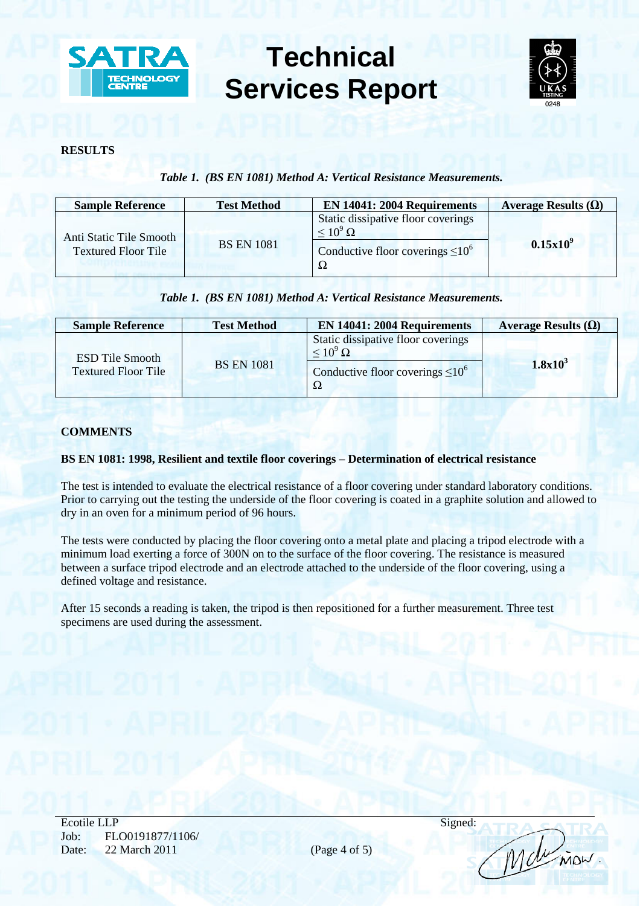



## **RESULTS**

# *Table 1. (BS EN 1081) Method A: Vertical Resistance Measurements.*

| <b>Sample Reference</b>                               | <b>Test Method</b> | <b>EN 14041: 2004 Requirements</b>                                                                         | Average Results $(\Omega)$ |
|-------------------------------------------------------|--------------------|------------------------------------------------------------------------------------------------------------|----------------------------|
| Anti Static Tile Smooth<br><b>Textured Floor Tile</b> | <b>BS EN 1081</b>  | Static dissipative floor coverings<br>$\rm {\leq}\,10^9\,\Omega$<br>Conductive floor coverings $\leq 10^6$ | $0.15x10^9$                |

# *Table 1. (BS EN 1081) Method A: Vertical Resistance Measurements.*

| <b>Sample Reference</b>                              | <b>Test Method</b> | <b>EN 14041: 2004 Requirements</b>                                                                        | Average Results $(\Omega)$ |
|------------------------------------------------------|--------------------|-----------------------------------------------------------------------------------------------------------|----------------------------|
| <b>ESD Tile Smooth</b><br><b>Textured Floor Tile</b> | <b>BS EN 1081</b>  | Static dissipative floor coverings<br>$\leq 10^9 \,\Omega$<br>Conductive floor coverings $\leq 10^6$<br>Ω | 1.8x10 <sup>3</sup>        |

# **COMMENTS**

# **BS EN 1081: 1998, Resilient and textile floor coverings – Determination of electrical resistance**

The test is intended to evaluate the electrical resistance of a floor covering under standard laboratory conditions. Prior to carrying out the testing the underside of the floor covering is coated in a graphite solution and allowed to dry in an oven for a minimum period of 96 hours.

The tests were conducted by placing the floor covering onto a metal plate and placing a tripod electrode with a minimum load exerting a force of 300N on to the surface of the floor covering. The resistance is measured between a surface tripod electrode and an electrode attached to the underside of the floor covering, using a defined voltage and resistance.

After 15 seconds a reading is taken, the tripod is then repositioned for a further measurement. Three test specimens are used during the assessment.

Ecotile LLP Signed: Job: FLO0191877/1106/ Date: 22 March 2011 (Page 4 of 5)

Molinian.